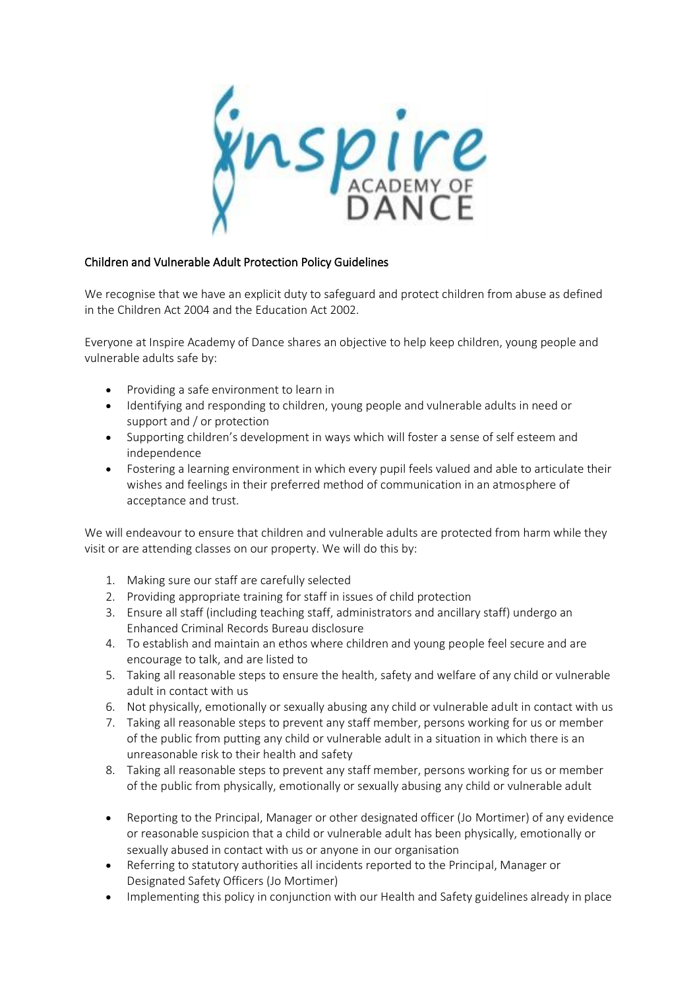ynspire

# Children and Vulnerable Adult Protection Policy Guidelines

We recognise that we have an explicit duty to safeguard and protect children from abuse as defined in the Children Act 2004 and the Education Act 2002.

Everyone at Inspire Academy of Dance shares an objective to help keep children, young people and vulnerable adults safe by:

- Providing a safe environment to learn in
- Identifying and responding to children, young people and vulnerable adults in need or support and / or protection
- Supporting children's development in ways which will foster a sense of self esteem and independence
- Fostering a learning environment in which every pupil feels valued and able to articulate their wishes and feelings in their preferred method of communication in an atmosphere of acceptance and trust.

We will endeavour to ensure that children and vulnerable adults are protected from harm while they visit or are attending classes on our property. We will do this by:

- 1. Making sure our staff are carefully selected
- 2. Providing appropriate training for staff in issues of child protection
- 3. Ensure all staff (including teaching staff, administrators and ancillary staff) undergo an Enhanced Criminal Records Bureau disclosure
- 4. To establish and maintain an ethos where children and young people feel secure and are encourage to talk, and are listed to
- 5. Taking all reasonable steps to ensure the health, safety and welfare of any child or vulnerable adult in contact with us
- 6. Not physically, emotionally or sexually abusing any child or vulnerable adult in contact with us
- 7. Taking all reasonable steps to prevent any staff member, persons working for us or member of the public from putting any child or vulnerable adult in a situation in which there is an unreasonable risk to their health and safety
- 8. Taking all reasonable steps to prevent any staff member, persons working for us or member of the public from physically, emotionally or sexually abusing any child or vulnerable adult
- Reporting to the Principal, Manager or other designated officer (Jo Mortimer) of any evidence or reasonable suspicion that a child or vulnerable adult has been physically, emotionally or sexually abused in contact with us or anyone in our organisation
- Referring to statutory authorities all incidents reported to the Principal, Manager or Designated Safety Officers (Jo Mortimer)
- Implementing this policy in conjunction with our Health and Safety guidelines already in place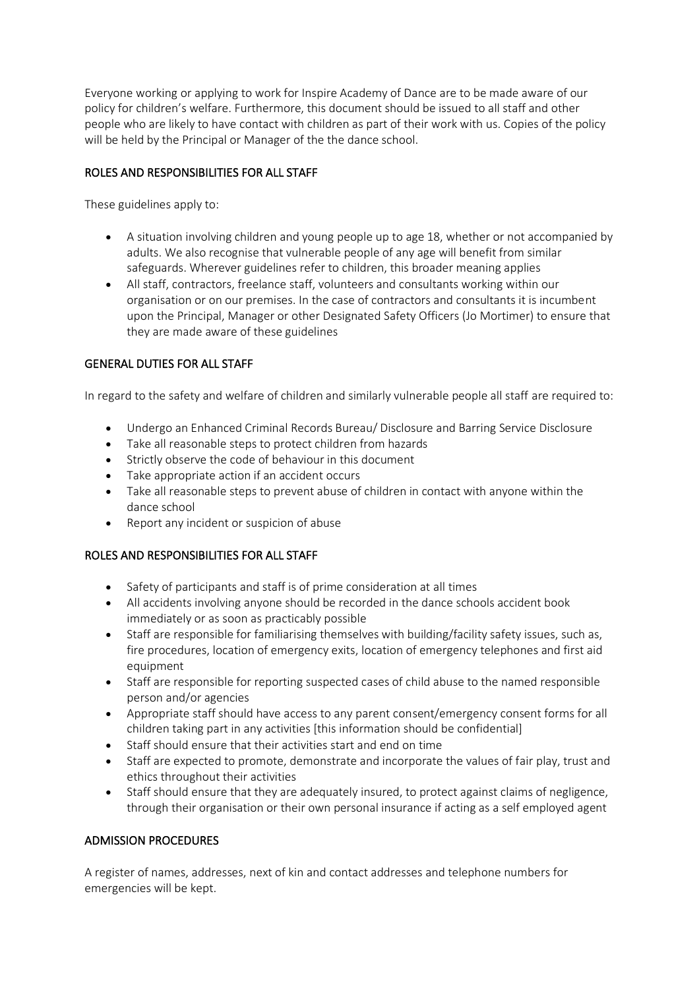Everyone working or applying to work for Inspire Academy of Dance are to be made aware of our policy for children's welfare. Furthermore, this document should be issued to all staff and other people who are likely to have contact with children as part of their work with us. Copies of the policy will be held by the Principal or Manager of the the dance school.

# ROLES AND RESPONSIBILITIES FOR ALL STAFF

These guidelines apply to:

- A situation involving children and young people up to age 18, whether or not accompanied by adults. We also recognise that vulnerable people of any age will benefit from similar safeguards. Wherever guidelines refer to children, this broader meaning applies
- All staff, contractors, freelance staff, volunteers and consultants working within our organisation or on our premises. In the case of contractors and consultants it is incumbent upon the Principal, Manager or other Designated Safety Officers (Jo Mortimer) to ensure that they are made aware of these guidelines

# GENERAL DUTIES FOR ALL STAFF

In regard to the safety and welfare of children and similarly vulnerable people all staff are required to:

- Undergo an Enhanced Criminal Records Bureau/ Disclosure and Barring Service Disclosure
- Take all reasonable steps to protect children from hazards
- Strictly observe the code of behaviour in this document
- Take appropriate action if an accident occurs
- Take all reasonable steps to prevent abuse of children in contact with anyone within the dance school
- Report any incident or suspicion of abuse

# ROLES AND RESPONSIBILITIES FOR ALL STAFF

- Safety of participants and staff is of prime consideration at all times
- All accidents involving anyone should be recorded in the dance schools accident book immediately or as soon as practicably possible
- Staff are responsible for familiarising themselves with building/facility safety issues, such as, fire procedures, location of emergency exits, location of emergency telephones and first aid equipment
- Staff are responsible for reporting suspected cases of child abuse to the named responsible person and/or agencies
- Appropriate staff should have access to any parent consent/emergency consent forms for all children taking part in any activities [this information should be confidential]
- Staff should ensure that their activities start and end on time
- Staff are expected to promote, demonstrate and incorporate the values of fair play, trust and ethics throughout their activities
- Staff should ensure that they are adequately insured, to protect against claims of negligence, through their organisation or their own personal insurance if acting as a self employed agent

# ADMISSION PROCEDURES

A register of names, addresses, next of kin and contact addresses and telephone numbers for emergencies will be kept.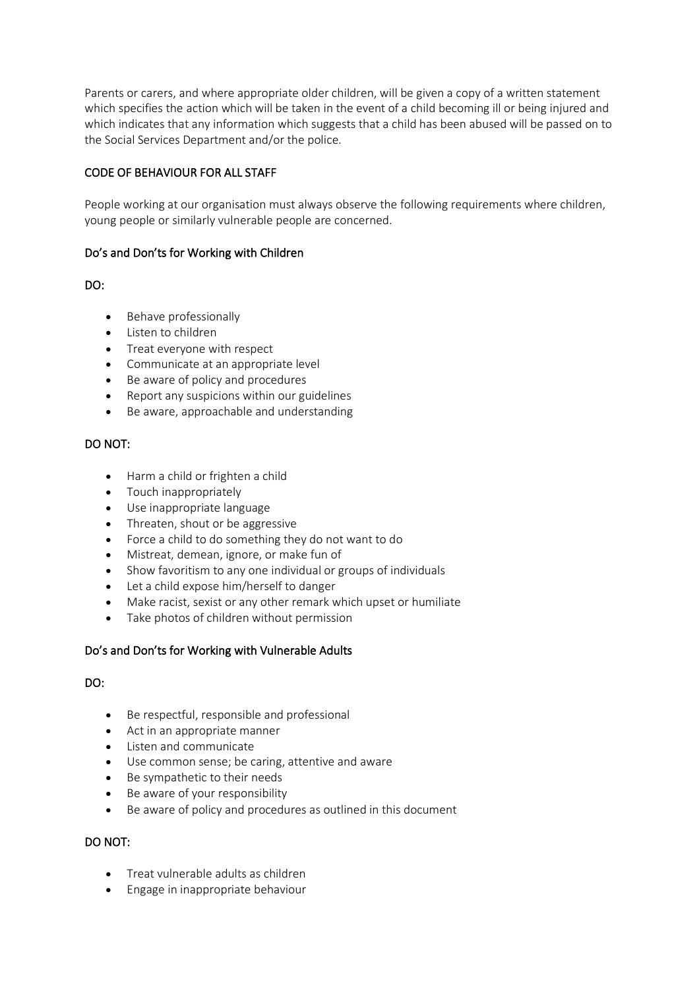Parents or carers, and where appropriate older children, will be given a copy of a written statement which specifies the action which will be taken in the event of a child becoming ill or being injured and which indicates that any information which suggests that a child has been abused will be passed on to the Social Services Department and/or the police.

# CODE OF BEHAVIOUR FOR ALL STAFF

People working at our organisation must always observe the following requirements where children, young people or similarly vulnerable people are concerned.

#### Do's and Don'ts for Working with Children

### DO:

- Behave professionally
- Listen to children
- Treat everyone with respect
- Communicate at an appropriate level
- Be aware of policy and procedures
- Report any suspicions within our guidelines
- Be aware, approachable and understanding

### DO NOT:

- Harm a child or frighten a child
- Touch inappropriately
- Use inappropriate language
- Threaten, shout or be aggressive
- Force a child to do something they do not want to do
- Mistreat, demean, ignore, or make fun of
- Show favoritism to any one individual or groups of individuals
- Let a child expose him/herself to danger
- Make racist, sexist or any other remark which upset or humiliate
- Take photos of children without permission

# Do's and Don'ts for Working with Vulnerable Adults

#### DO:

- Be respectful, responsible and professional
- Act in an appropriate manner
- Listen and communicate
- Use common sense; be caring, attentive and aware
- Be sympathetic to their needs
- Be aware of your responsibility
- Be aware of policy and procedures as outlined in this document

#### DO NOT:

- Treat vulnerable adults as children
- Engage in inappropriate behaviour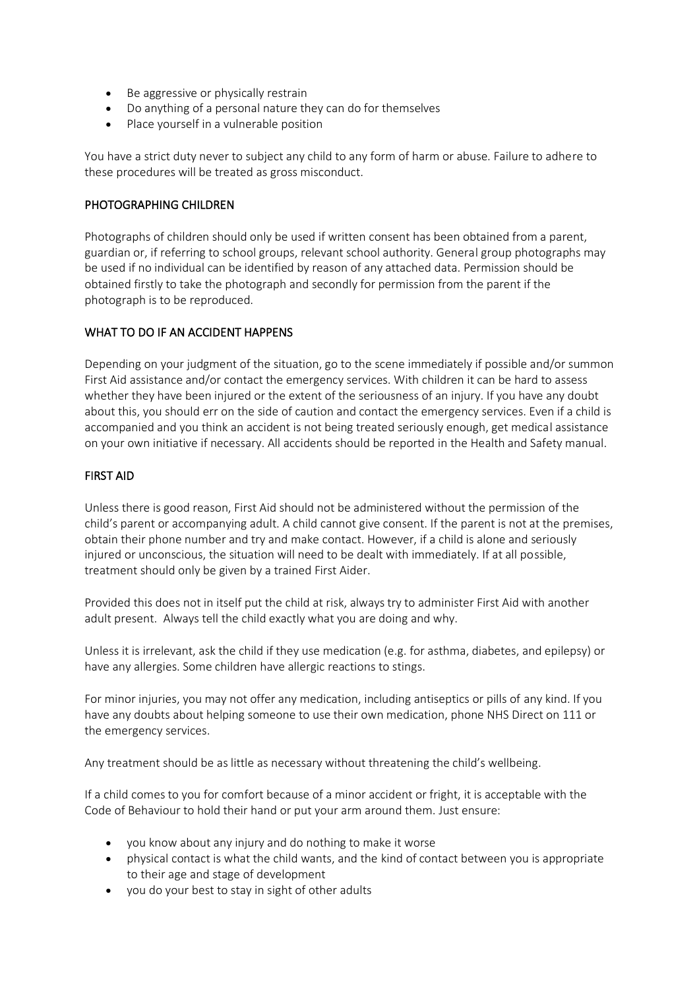- Be aggressive or physically restrain
- Do anything of a personal nature they can do for themselves
- Place yourself in a vulnerable position

You have a strict duty never to subject any child to any form of harm or abuse. Failure to adhere to these procedures will be treated as gross misconduct.

### PHOTOGRAPHING CHILDREN

Photographs of children should only be used if written consent has been obtained from a parent, guardian or, if referring to school groups, relevant school authority. General group photographs may be used if no individual can be identified by reason of any attached data. Permission should be obtained firstly to take the photograph and secondly for permission from the parent if the photograph is to be reproduced.

# WHAT TO DO IF AN ACCIDENT HAPPENS

Depending on your judgment of the situation, go to the scene immediately if possible and/or summon First Aid assistance and/or contact the emergency services. With children it can be hard to assess whether they have been injured or the extent of the seriousness of an injury. If you have any doubt about this, you should err on the side of caution and contact the emergency services. Even if a child is accompanied and you think an accident is not being treated seriously enough, get medical assistance on your own initiative if necessary. All accidents should be reported in the Health and Safety manual.

### FIRST AID

Unless there is good reason, First Aid should not be administered without the permission of the child's parent or accompanying adult. A child cannot give consent. If the parent is not at the premises, obtain their phone number and try and make contact. However, if a child is alone and seriously injured or unconscious, the situation will need to be dealt with immediately. If at all possible, treatment should only be given by a trained First Aider.

Provided this does not in itself put the child at risk, always try to administer First Aid with another adult present. Always tell the child exactly what you are doing and why.

Unless it is irrelevant, ask the child if they use medication (e.g. for asthma, diabetes, and epilepsy) or have any allergies. Some children have allergic reactions to stings.

For minor injuries, you may not offer any medication, including antiseptics or pills of any kind. If you have any doubts about helping someone to use their own medication, phone NHS Direct on 111 or the emergency services.

Any treatment should be as little as necessary without threatening the child's wellbeing.

If a child comes to you for comfort because of a minor accident or fright, it is acceptable with the Code of Behaviour to hold their hand or put your arm around them. Just ensure:

- you know about any injury and do nothing to make it worse
- physical contact is what the child wants, and the kind of contact between you is appropriate to their age and stage of development
- you do your best to stay in sight of other adults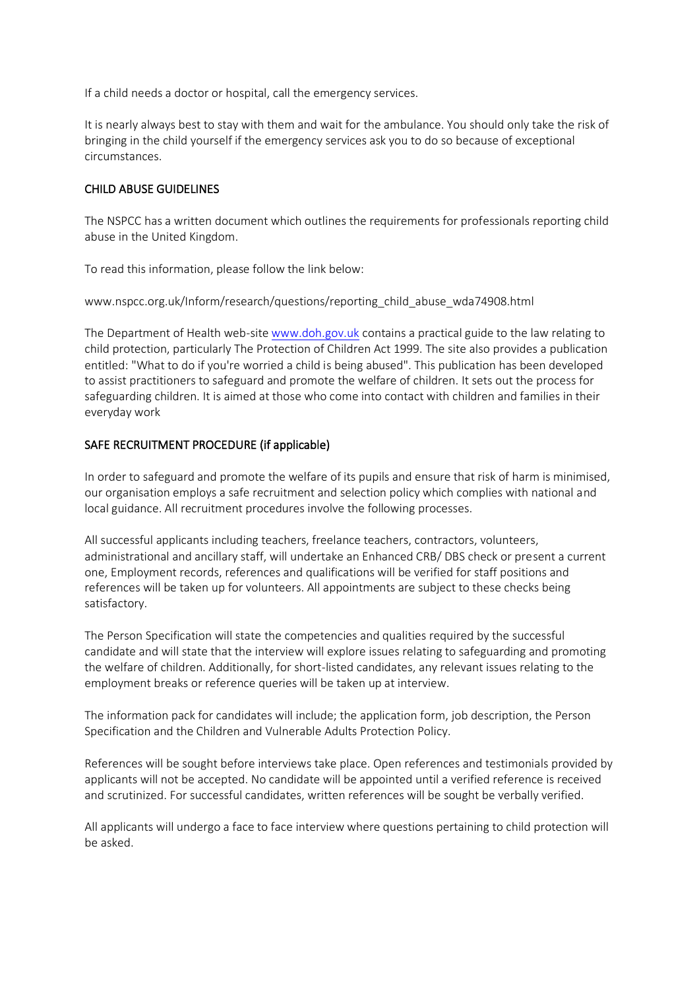If a child needs a doctor or hospital, call the emergency services.

It is nearly always best to stay with them and wait for the ambulance. You should only take the risk of bringing in the child yourself if the emergency services ask you to do so because of exceptional circumstances.

# CHILD ABUSE GUIDELINES

The NSPCC has a written document which outlines the requirements for professionals reporting child abuse in the United Kingdom.

To read this information, please follow the link below:

www.nspcc.org.uk/Inform/research/questions/reporting\_child\_abuse\_wda74908.html

The Department of Health web-site [www.doh.gov.uk](http://www.doh.gov.uk/) contains a practical guide to the law relating to child protection, particularly The Protection of Children Act 1999. The site also provides a publication entitled: "What to do if you're worried a child is being abused". This publication has been developed to assist practitioners to safeguard and promote the welfare of children. It sets out the process for safeguarding children. It is aimed at those who come into contact with children and families in their everyday work

### SAFE RECRUITMENT PROCEDURE (if applicable)

In order to safeguard and promote the welfare of its pupils and ensure that risk of harm is minimised, our organisation employs a safe recruitment and selection policy which complies with national and local guidance. All recruitment procedures involve the following processes.

All successful applicants including teachers, freelance teachers, contractors, volunteers, administrational and ancillary staff, will undertake an Enhanced CRB/ DBS check or present a current one, Employment records, references and qualifications will be verified for staff positions and references will be taken up for volunteers. All appointments are subject to these checks being satisfactory.

The Person Specification will state the competencies and qualities required by the successful candidate and will state that the interview will explore issues relating to safeguarding and promoting the welfare of children. Additionally, for short-listed candidates, any relevant issues relating to the employment breaks or reference queries will be taken up at interview.

The information pack for candidates will include; the application form, job description, the Person Specification and the Children and Vulnerable Adults Protection Policy.

References will be sought before interviews take place. Open references and testimonials provided by applicants will not be accepted. No candidate will be appointed until a verified reference is received and scrutinized. For successful candidates, written references will be sought be verbally verified.

All applicants will undergo a face to face interview where questions pertaining to child protection will be asked.